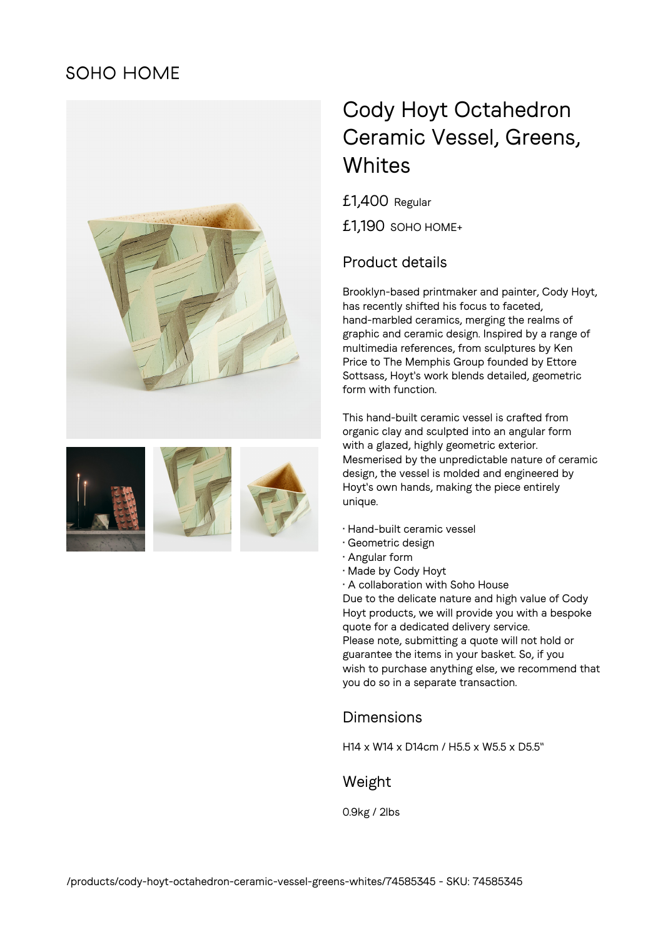# **SOHO HOME**





# Cody Hoyt Octahedron Ceramic Vessel, Greens, **Whites**

£1,400 Regular £1,190 SOHO HOME+

### Product details

Brooklyn-based printmaker and painter, Cody Hoyt, has recently shifted his focus to faceted, hand-marbled ceramics, merging the realms of graphic and ceramic design. Inspired by a range of multimedia references, from sculptures by Ken Price to The Memphis Group founded by Ettore Sottsass, Hoyt's work blends detailed, geometric form with function.

This hand-built ceramic vessel is crafted from organic clay and sculpted into an angular form with a glazed, highly geometric exterior. Mesmerised by the unpredictable nature of ceramic design, the vessel is molded and engineered by Hoyt's own hands, making the piece entirely unique.

- Hand-built ceramic vessel
- Geometric design
- Angular form
- Made by Cody Hoyt
- A collaboration with Soho House

Due to the delicate nature and high value of Cody Hoyt products, we will provide you with a bespoke quote for a dedicated delivery service. Please note, submitting a quote will not hold or guarantee the items in your basket. So, if you wish to purchase anything else, we recommend that you do so in a separate transaction.

#### Dimensions

H14 x W14 x D14cm / H5.5 x W5.5 x D5.5"

#### Weight

0.9kg / 2lbs